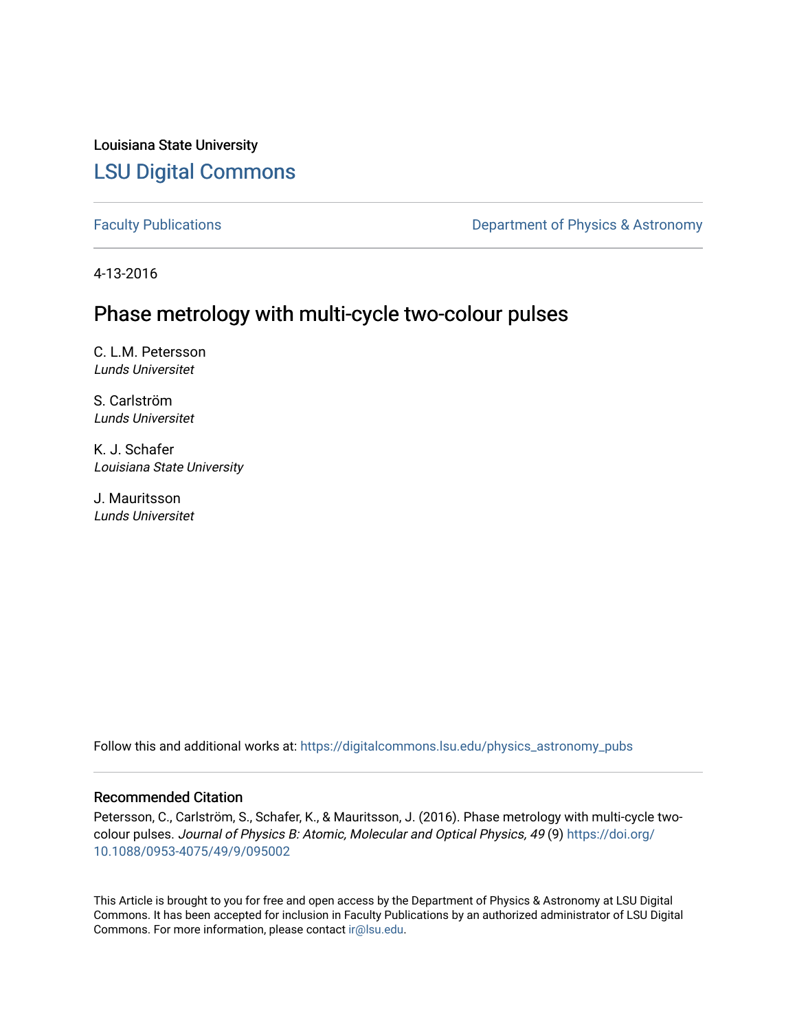Louisiana State University [LSU Digital Commons](https://digitalcommons.lsu.edu/)

[Faculty Publications](https://digitalcommons.lsu.edu/physics_astronomy_pubs) **Exercise 2 and Table 2 and Table 2 and Table 2 and Table 2 and Table 2 and Table 2 and Table 2 and Table 2 and Table 2 and Table 2 and Table 2 and Table 2 and Table 2 and Table 2 and Table 2 and Table** 

4-13-2016

# Phase metrology with multi-cycle two-colour pulses

C. L.M. Petersson Lunds Universitet

S. Carlström Lunds Universitet

K. J. Schafer Louisiana State University

J. Mauritsson Lunds Universitet

Follow this and additional works at: [https://digitalcommons.lsu.edu/physics\\_astronomy\\_pubs](https://digitalcommons.lsu.edu/physics_astronomy_pubs?utm_source=digitalcommons.lsu.edu%2Fphysics_astronomy_pubs%2F4868&utm_medium=PDF&utm_campaign=PDFCoverPages) 

## Recommended Citation

Petersson, C., Carlström, S., Schafer, K., & Mauritsson, J. (2016). Phase metrology with multi-cycle twocolour pulses. Journal of Physics B: Atomic, Molecular and Optical Physics, 49 (9) [https://doi.org/](https://doi.org/10.1088/0953-4075/49/9/095002) [10.1088/0953-4075/49/9/095002](https://doi.org/10.1088/0953-4075/49/9/095002) 

This Article is brought to you for free and open access by the Department of Physics & Astronomy at LSU Digital Commons. It has been accepted for inclusion in Faculty Publications by an authorized administrator of LSU Digital Commons. For more information, please contact [ir@lsu.edu](mailto:ir@lsu.edu).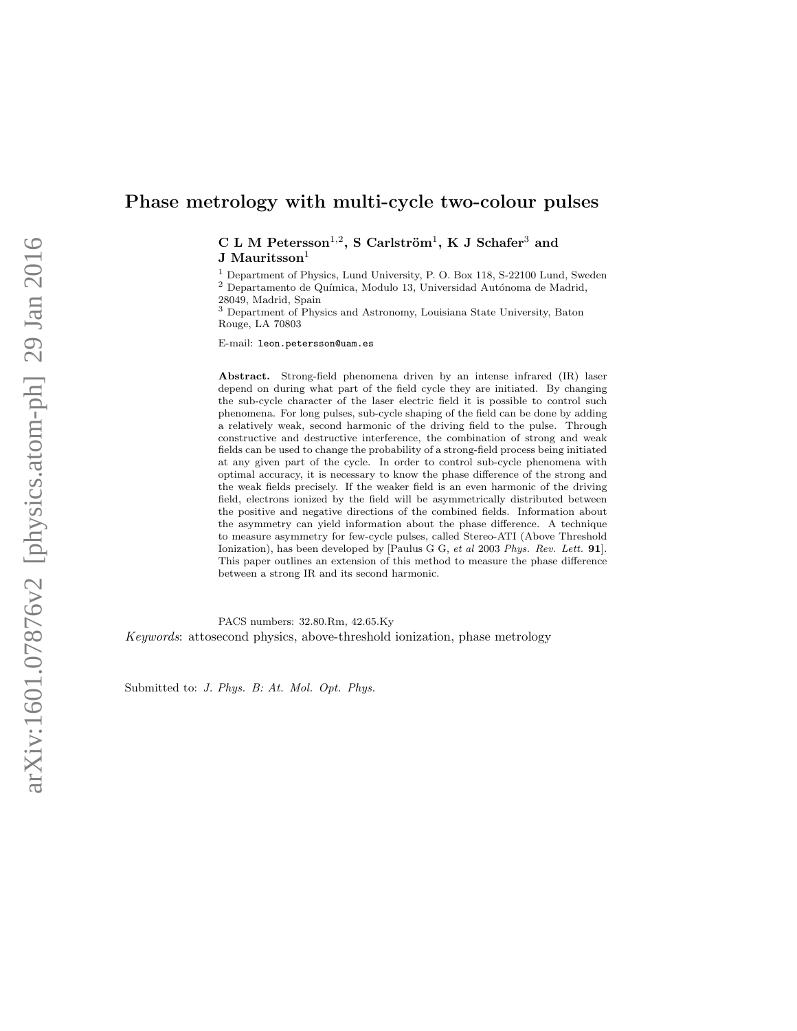## Phase metrology with multi-cycle two-colour pulses

 $C L M Petersson<sup>1,2</sup>, S Carlström<sup>1</sup>, K J Schafer<sup>3</sup> and$ J Mauritsson<sup>1</sup>

<sup>1</sup> Department of Physics, Lund University, P. O. Box 118, S-22100 Lund, Sweden  $^2$  Departamento de Química, Modulo 13, Universidad Autónoma de Madrid, 28049, Madrid, Spain

<sup>3</sup> Department of Physics and Astronomy, Louisiana State University, Baton Rouge, LA 70803

E-mail: leon.petersson@uam.es

Abstract. Strong-field phenomena driven by an intense infrared (IR) laser depend on during what part of the field cycle they are initiated. By changing the sub-cycle character of the laser electric field it is possible to control such phenomena. For long pulses, sub-cycle shaping of the field can be done by adding a relatively weak, second harmonic of the driving field to the pulse. Through constructive and destructive interference, the combination of strong and weak fields can be used to change the probability of a strong-field process being initiated at any given part of the cycle. In order to control sub-cycle phenomena with optimal accuracy, it is necessary to know the phase difference of the strong and the weak fields precisely. If the weaker field is an even harmonic of the driving field, electrons ionized by the field will be asymmetrically distributed between the positive and negative directions of the combined fields. Information about the asymmetry can yield information about the phase difference. A technique to measure asymmetry for few-cycle pulses, called Stereo-ATI (Above Threshold Ionization), has been developed by [Paulus G G, et al 2003 Phys. Rev. Lett. 91]. This paper outlines an extension of this method to measure the phase difference between a strong IR and its second harmonic.

PACS numbers: 32.80.Rm, 42.65.Ky Keywords: attosecond physics, above-threshold ionization, phase metrology

Submitted to: J. Phys. B: At. Mol. Opt. Phys.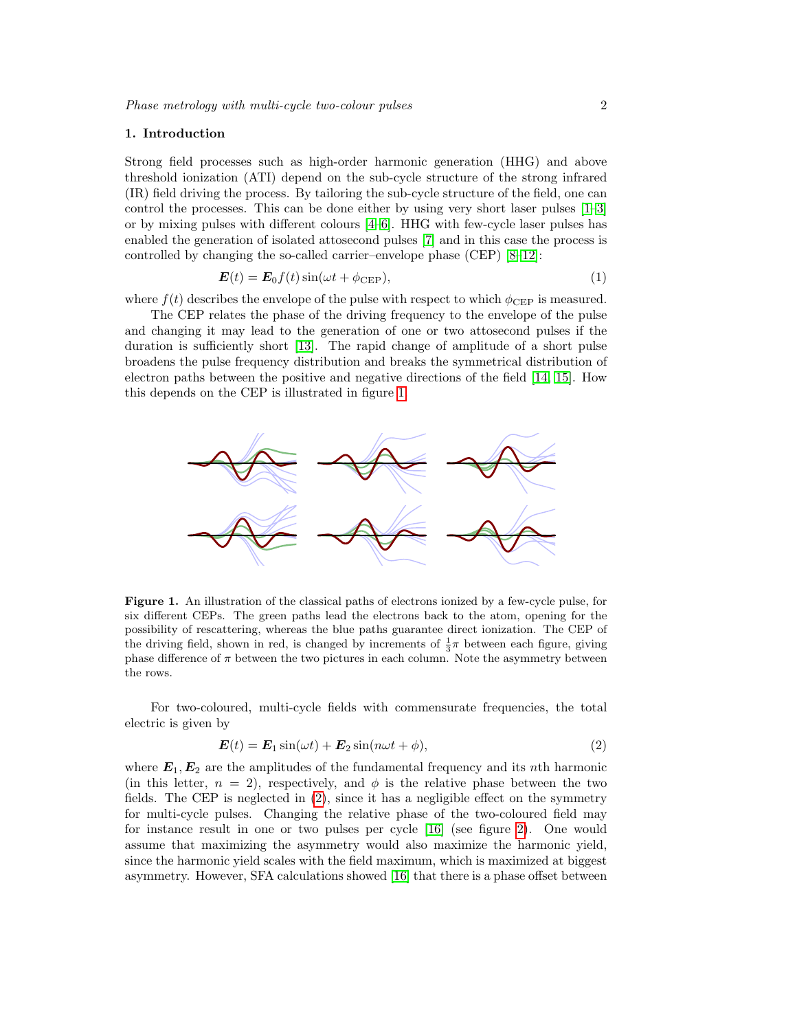#### 1. Introduction

Strong field processes such as high-order harmonic generation (HHG) and above threshold ionization (ATI) depend on the sub-cycle structure of the strong infrared (IR) field driving the process. By tailoring the sub-cycle structure of the field, one can control the processes. This can be done either by using very short laser pulses [\[1–](#page-10-0)[3\]](#page-10-1) or by mixing pulses with different colours [\[4–](#page-10-2)[6\]](#page-10-3). HHG with few-cycle laser pulses has enabled the generation of isolated attosecond pulses [\[7\]](#page-10-4) and in this case the process is controlled by changing the so-called carrier–envelope phase (CEP) [\[8](#page-10-5)[–12\]](#page-11-0):

$$
\boldsymbol{E}(t) = \boldsymbol{E}_0 f(t) \sin(\omega t + \phi_{\text{CEP}}),\tag{1}
$$

where  $f(t)$  describes the envelope of the pulse with respect to which  $\phi_{\text{CEP}}$  is measured.

The CEP relates the phase of the driving frequency to the envelope of the pulse and changing it may lead to the generation of one or two attosecond pulses if the duration is sufficiently short [\[13\]](#page-11-1). The rapid change of amplitude of a short pulse broadens the pulse frequency distribution and breaks the symmetrical distribution of electron paths between the positive and negative directions of the field [\[14,](#page-11-2) [15\]](#page-11-3). How this depends on the CEP is illustrated in figure [1.](#page-2-0)

<span id="page-2-0"></span>

Figure 1. An illustration of the classical paths of electrons ionized by a few-cycle pulse, for six different CEPs. The green paths lead the electrons back to the atom, opening for the possibility of rescattering, whereas the blue paths guarantee direct ionization. The CEP of the driving field, shown in red, is changed by increments of  $\frac{1}{3}\pi$  between each figure, giving phase difference of  $\pi$  between the two pictures in each column. Note the asymmetry between the rows.

For two-coloured, multi-cycle fields with commensurate frequencies, the total electric is given by

<span id="page-2-1"></span>
$$
E(t) = E_1 \sin(\omega t) + E_2 \sin(n\omega t + \phi), \qquad (2)
$$

where  $E_1, E_2$  are the amplitudes of the fundamental frequency and its nth harmonic (in this letter,  $n = 2$ ), respectively, and  $\phi$  is the relative phase between the two fields. The CEP is neglected in [\(2\)](#page-2-1), since it has a negligible effect on the symmetry for multi-cycle pulses. Changing the relative phase of the two-coloured field may for instance result in one or two pulses per cycle [\[16\]](#page-11-4) (see figure [2\)](#page-3-0). One would assume that maximizing the asymmetry would also maximize the harmonic yield, since the harmonic yield scales with the field maximum, which is maximized at biggest asymmetry. However, SFA calculations showed [\[16\]](#page-11-4) that there is a phase offset between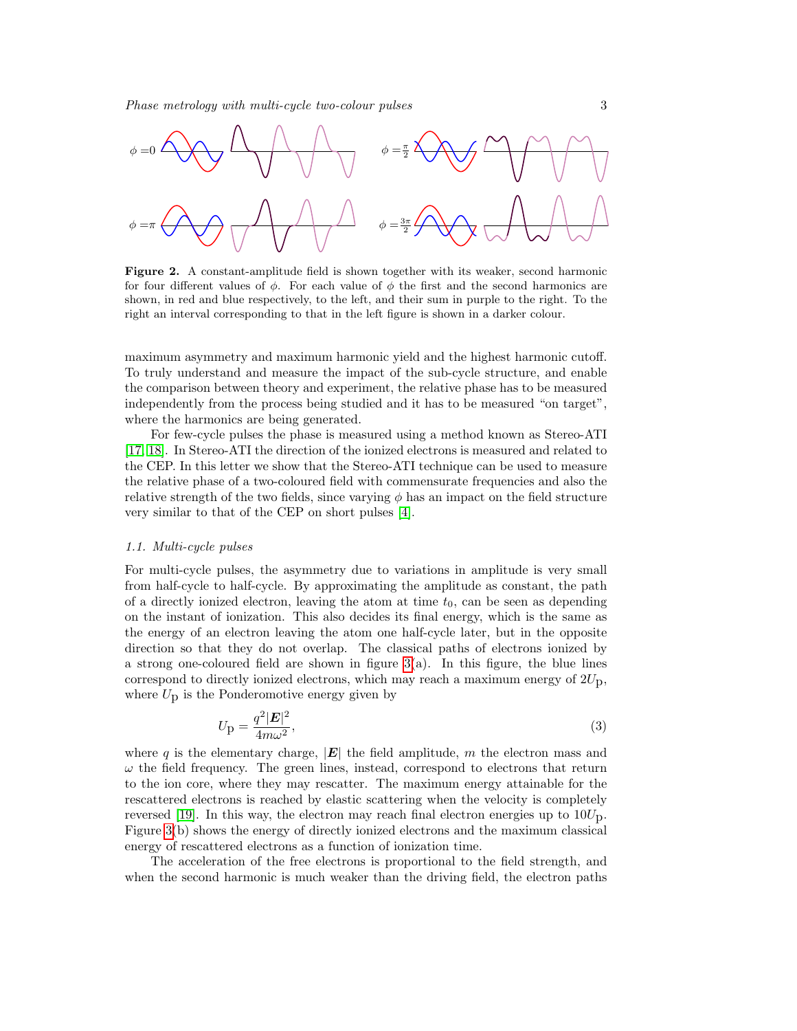<span id="page-3-0"></span>

Figure 2. A constant-amplitude field is shown together with its weaker, second harmonic for four different values of  $\phi$ . For each value of  $\phi$  the first and the second harmonics are shown, in red and blue respectively, to the left, and their sum in purple to the right. To the right an interval corresponding to that in the left figure is shown in a darker colour.

maximum asymmetry and maximum harmonic yield and the highest harmonic cutoff. To truly understand and measure the impact of the sub-cycle structure, and enable the comparison between theory and experiment, the relative phase has to be measured independently from the process being studied and it has to be measured "on target", where the harmonics are being generated.

For few-cycle pulses the phase is measured using a method known as Stereo-ATI [\[17,](#page-11-5) [18\]](#page-11-6). In Stereo-ATI the direction of the ionized electrons is measured and related to the CEP. In this letter we show that the Stereo-ATI technique can be used to measure the relative phase of a two-coloured field with commensurate frequencies and also the relative strength of the two fields, since varying  $\phi$  has an impact on the field structure very similar to that of the CEP on short pulses [\[4\]](#page-10-2).

#### 1.1. Multi-cycle pulses

For multi-cycle pulses, the asymmetry due to variations in amplitude is very small from half-cycle to half-cycle. By approximating the amplitude as constant, the path of a directly ionized electron, leaving the atom at time  $t_0$ , can be seen as depending on the instant of ionization. This also decides its final energy, which is the same as the energy of an electron leaving the atom one half-cycle later, but in the opposite direction so that they do not overlap. The classical paths of electrons ionized by a strong one-coloured field are shown in figure  $3(a)$ . In this figure, the blue lines correspond to directly ionized electrons, which may reach a maximum energy of  $2U_p$ , where  $U_p$  is the Ponderomotive energy given by

$$
U_{\mathbf{p}} = \frac{q^2 |\mathbf{E}|^2}{4m\omega^2},\tag{3}
$$

where q is the elementary charge,  $|E|$  the field amplitude, m the electron mass and  $\omega$  the field frequency. The green lines, instead, correspond to electrons that return to the ion core, where they may rescatter. The maximum energy attainable for the rescattered electrons is reached by elastic scattering when the velocity is completely reversed [\[19\]](#page-11-7). In this way, the electron may reach final electron energies up to  $10U<sub>D</sub>$ . Figure [3\(](#page-4-0)b) shows the energy of directly ionized electrons and the maximum classical energy of rescattered electrons as a function of ionization time.

The acceleration of the free electrons is proportional to the field strength, and when the second harmonic is much weaker than the driving field, the electron paths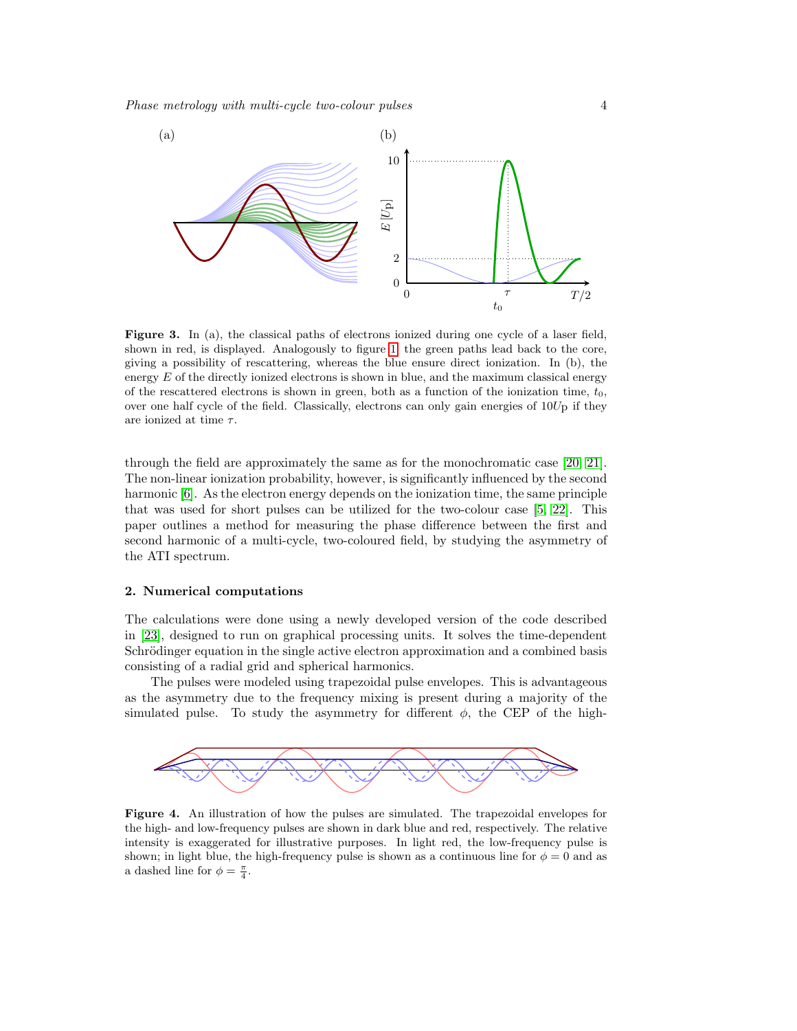<span id="page-4-0"></span>

Figure 3. In (a), the classical paths of electrons ionized during one cycle of a laser field, shown in red, is displayed. Analogously to figure [1,](#page-2-0) the green paths lead back to the core, giving a possibility of rescattering, whereas the blue ensure direct ionization. In (b), the energy  $E$  of the directly ionized electrons is shown in blue, and the maximum classical energy of the rescattered electrons is shown in green, both as a function of the ionization time,  $t_0$ , over one half cycle of the field. Classically, electrons can only gain energies of  $10U<sub>D</sub>$  if they are ionized at time  $\tau$ .

through the field are approximately the same as for the monochromatic case [\[20,](#page-11-8) [21\]](#page-11-9). The non-linear ionization probability, however, is significantly influenced by the second harmonic [\[6\]](#page-10-3). As the electron energy depends on the ionization time, the same principle that was used for short pulses can be utilized for the two-colour case [\[5,](#page-10-6) [22\]](#page-11-10). This paper outlines a method for measuring the phase difference between the first and second harmonic of a multi-cycle, two-coloured field, by studying the asymmetry of the ATI spectrum.

### 2. Numerical computations

The calculations were done using a newly developed version of the code described in [\[23\]](#page-11-11), designed to run on graphical processing units. It solves the time-dependent Schrödinger equation in the single active electron approximation and a combined basis consisting of a radial grid and spherical harmonics.

The pulses were modeled using trapezoidal pulse envelopes. This is advantageous as the asymmetry due to the frequency mixing is present during a majority of the simulated pulse. To study the asymmetry for different  $\phi$ , the CEP of the high-

<span id="page-4-1"></span>

Figure 4. An illustration of how the pulses are simulated. The trapezoidal envelopes for the high- and low-frequency pulses are shown in dark blue and red, respectively. The relative intensity is exaggerated for illustrative purposes. In light red, the low-frequency pulse is shown; in light blue, the high-frequency pulse is shown as a continuous line for  $\phi = 0$  and as a dashed line for  $\phi = \frac{\pi}{4}$ .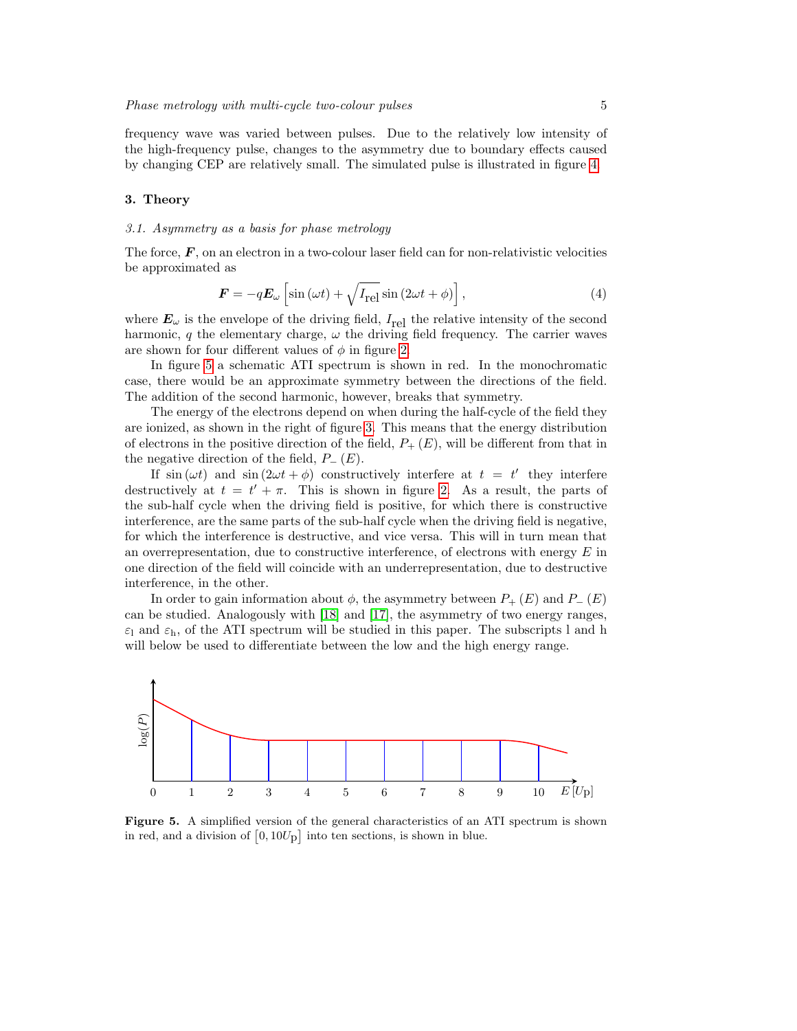frequency wave was varied between pulses. Due to the relatively low intensity of the high-frequency pulse, changes to the asymmetry due to boundary effects caused by changing CEP are relatively small. The simulated pulse is illustrated in figure [4.](#page-4-1)

#### 3. Theory

#### 3.1. Asymmetry as a basis for phase metrology

The force,  $\bm{F}$ , on an electron in a two-colour laser field can for non-relativistic velocities be approximated as

$$
\boldsymbol{F} = -q\boldsymbol{E}_{\omega}\left[\sin\left(\omega t\right) + \sqrt{I_{\text{rel}}}\sin\left(2\omega t + \phi\right)\right],\tag{4}
$$

where  $E_{\omega}$  is the envelope of the driving field,  $I_{rel}$  the relative intensity of the second harmonic, q the elementary charge,  $\omega$  the driving field frequency. The carrier waves are shown for four different values of  $\phi$  in figure [2.](#page-3-0)

In figure [5](#page-5-0) a schematic ATI spectrum is shown in red. In the monochromatic case, there would be an approximate symmetry between the directions of the field. The addition of the second harmonic, however, breaks that symmetry.

The energy of the electrons depend on when during the half-cycle of the field they are ionized, as shown in the right of figure [3.](#page-4-0) This means that the energy distribution of electrons in the positive direction of the field,  $P_+(E)$ , will be different from that in the negative direction of the field,  $P_-(E)$ .

If  $\sin(\omega t)$  and  $\sin(2\omega t + \phi)$  constructively interfere at  $t = t'$  they interfere destructively at  $t = t' + \pi$ . This is shown in figure [2.](#page-3-0) As a result, the parts of the sub-half cycle when the driving field is positive, for which there is constructive interference, are the same parts of the sub-half cycle when the driving field is negative, for which the interference is destructive, and vice versa. This will in turn mean that an overrepresentation, due to constructive interference, of electrons with energy  $E$  in one direction of the field will coincide with an underrepresentation, due to destructive interference, in the other.

In order to gain information about  $\phi$ , the asymmetry between  $P_+(E)$  and  $P_-(E)$ can be studied. Analogously with [\[18\]](#page-11-6) and [\[17\]](#page-11-5), the asymmetry of two energy ranges,  $\varepsilon_1$  and  $\varepsilon_{\rm h}$ , of the ATI spectrum will be studied in this paper. The subscripts l and h will below be used to differentiate between the low and the high energy range.

<span id="page-5-0"></span>

Figure 5. A simplified version of the general characteristics of an ATI spectrum is shown in red, and a division of  $[0, 10U_{\text{p}}]$  into ten sections, is shown in blue.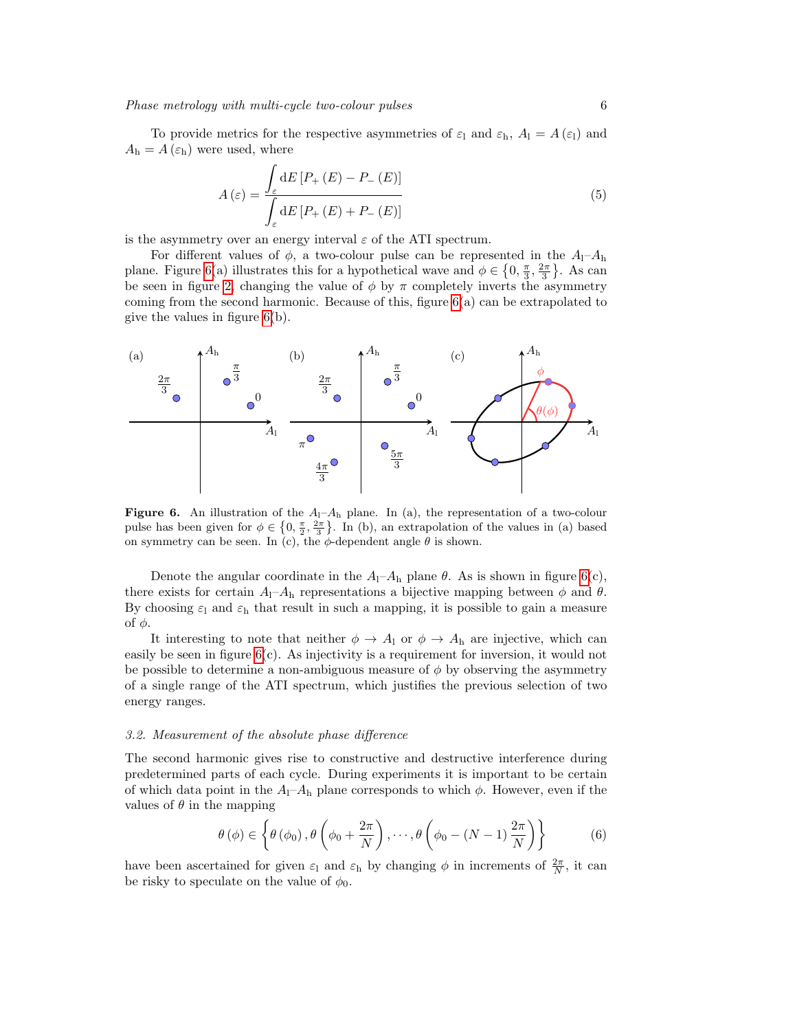To provide metrics for the respective asymmetries of  $\varepsilon_1$  and  $\varepsilon_h$ ,  $A_1 = A(\varepsilon_1)$  and  $A_{\rm h} = A\left(\varepsilon_{\rm h}\right)$  were used, where

$$
A\left(\varepsilon\right) = \frac{\int_{\varepsilon} \mathrm{d}E\left[P_{+}\left(E\right) - P_{-}\left(E\right)\right]}{\int_{\varepsilon} \mathrm{d}E\left[P_{+}\left(E\right) + P_{-}\left(E\right)\right]}
$$
\n(5)

is the asymmetry over an energy interval  $\varepsilon$  of the ATI spectrum.

For different values of  $\phi$ , a two-colour pulse can be represented in the  $A_1$ - $A_1$ plane. Figure [6\(](#page-6-0)a) illustrates this for a hypothetical wave and  $\phi \in \left\{0, \frac{\pi}{3}, \frac{2\pi}{3}\right\}$ . As can be seen in figure [2,](#page-3-0) changing the value of  $\phi$  by  $\pi$  completely inverts the asymmetry coming from the second harmonic. Because of this, figure  $6(a)$  can be extrapolated to give the values in figure [6\(](#page-6-0)b).

<span id="page-6-0"></span>

Figure 6. An illustration of the  $A_1$ – $A_h$  plane. In (a), the representation of a two-colour pulse has been given for  $\phi \in \left\{0, \frac{\pi}{2}, \frac{2\pi}{3}\right\}$ . In (b), an extrapolation of the values in (a) based on symmetry can be seen. In (c), the  $\phi$ -dependent angle  $\theta$  is shown.

Denote the angular coordinate in the  $A_1$ – $A_1$  plane  $\theta$ . As is shown in figure [6\(](#page-6-0)c), there exists for certain  $A_1$ – $A_h$  representations a bijective mapping between  $\phi$  and  $\theta$ . By choosing  $\varepsilon_1$  and  $\varepsilon_h$  that result in such a mapping, it is possible to gain a measure of  $φ$ .

It interesting to note that neither  $\phi \to A_1$  or  $\phi \to A_h$  are injective, which can easily be seen in figure  $6(c)$ . As injectivity is a requirement for inversion, it would not be possible to determine a non-ambiguous measure of  $\phi$  by observing the asymmetry of a single range of the ATI spectrum, which justifies the previous selection of two energy ranges.

#### 3.2. Measurement of the absolute phase difference

The second harmonic gives rise to constructive and destructive interference during predetermined parts of each cycle. During experiments it is important to be certain of which data point in the  $A_1$ – $A_h$  plane corresponds to which  $\phi$ . However, even if the values of  $\theta$  in the mapping

$$
\theta(\phi) \in \left\{\theta(\phi_0), \theta\left(\phi_0 + \frac{2\pi}{N}\right), \cdots, \theta\left(\phi_0 - (N-1)\frac{2\pi}{N}\right)\right\}
$$
(6)

have been ascertained for given  $\varepsilon_1$  and  $\varepsilon_h$  by changing  $\phi$  in increments of  $\frac{2\pi}{N}$ , it can be risky to speculate on the value of  $\phi_0$ .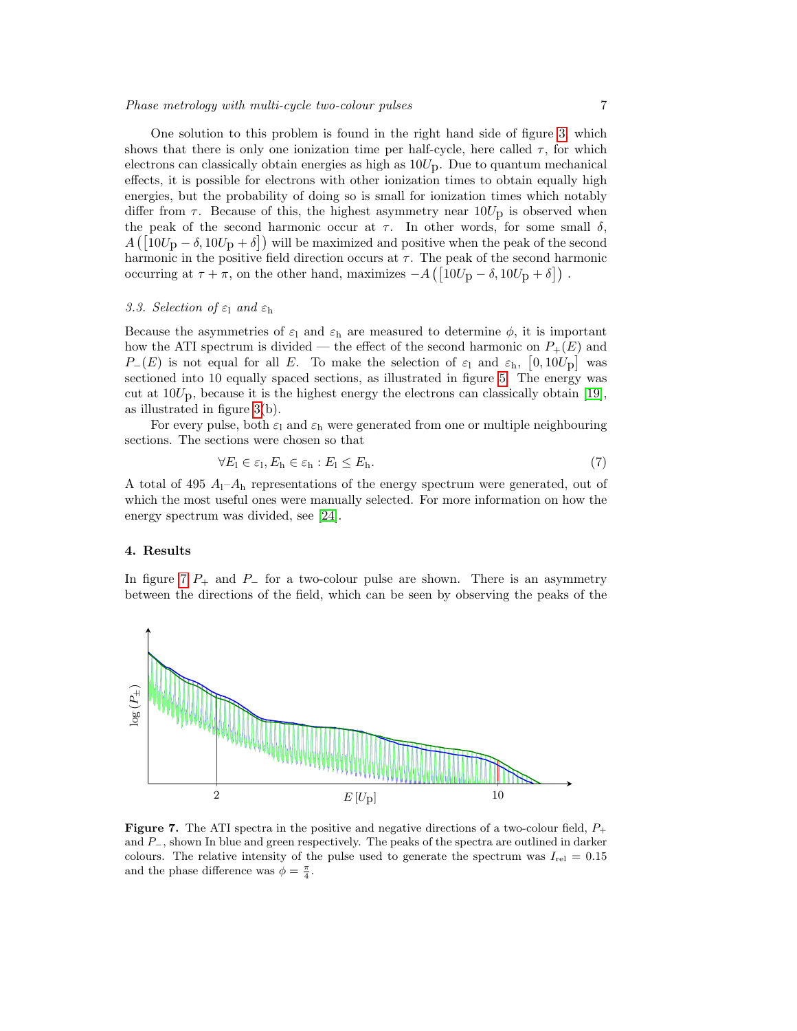One solution to this problem is found in the right hand side of figure [3,](#page-4-0) which shows that there is only one ionization time per half-cycle, here called  $\tau$ , for which electrons can classically obtain energies as high as  $10U<sub>p</sub>$ . Due to quantum mechanical effects, it is possible for electrons with other ionization times to obtain equally high energies, but the probability of doing so is small for ionization times which notably differ from  $\tau$ . Because of this, the highest asymmetry near  $10U_{\rm p}$  is observed when the peak of the second harmonic occur at  $\tau$ . In other words, for some small  $\delta$ ,  $A\left(\left[10U_{\rm p}-\delta,10U_{\rm p}+\delta\right]\right)$  will be maximized and positive when the peak of the second harmonic in the positive field direction occurs at  $\tau$ . The peak of the second harmonic occurring at  $\tau + \pi$ , on the other hand, maximizes  $-A\left(\left[10U_{\mathbf{p}} - \delta, 10U_{\mathbf{p}} + \delta\right]\right)$ .

### 3.3. Selection of  $\varepsilon_1$  and  $\varepsilon_{\rm h}$

Because the asymmetries of  $\varepsilon_1$  and  $\varepsilon_h$  are measured to determine  $\phi$ , it is important how the ATI spectrum is divided — the effect of the second harmonic on  $P_+(E)$  and P<sub>−</sub>(E) is not equal for all E. To make the selection of  $\varepsilon_1$  and  $\varepsilon_1$ , [0, 10U<sub>p</sub>] was sectioned into 10 equally spaced sections, as illustrated in figure [5.](#page-5-0) The energy was cut at  $10U_p$ , because it is the highest energy the electrons can classically obtain [\[19\]](#page-11-7), as illustrated in figure [3\(](#page-4-0)b).

For every pulse, both  $\varepsilon_1$  and  $\varepsilon_b$  were generated from one or multiple neighbouring sections. The sections were chosen so that

$$
\forall E_1 \in \varepsilon_1, E_h \in \varepsilon_h : E_1 \le E_h. \tag{7}
$$

A total of 495  $A_1$ – $A_1$  representations of the energy spectrum were generated, out of which the most useful ones were manually selected. For more information on how the energy spectrum was divided, see [\[24\]](#page-11-12).

#### 4. Results

In figure [7](#page-7-0)  $P_+$  and  $P_-$  for a two-colour pulse are shown. There is an asymmetry between the directions of the field, which can be seen by observing the peaks of the

<span id="page-7-0"></span>

**Figure 7.** The ATI spectra in the positive and negative directions of a two-colour field,  $P_+$ and P−, shown In blue and green respectively. The peaks of the spectra are outlined in darker colours. The relative intensity of the pulse used to generate the spectrum was  $I_{rel} = 0.15$ and the phase difference was  $\phi = \frac{\pi}{4}$ .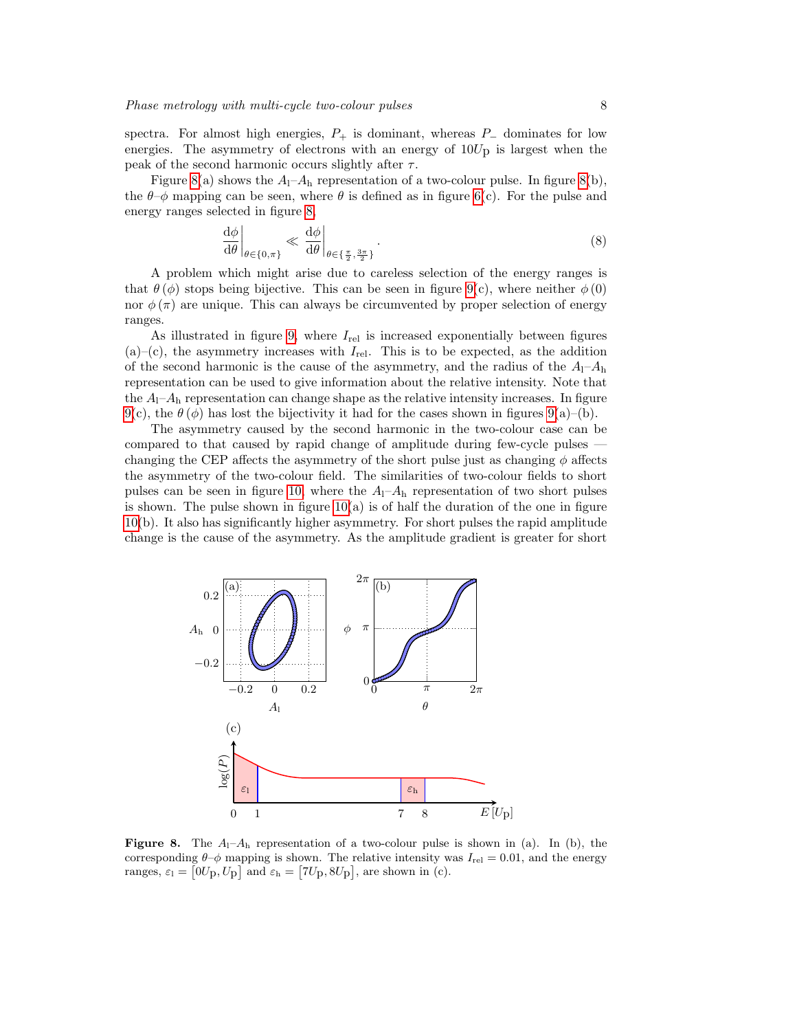spectra. For almost high energies,  $P_+$  is dominant, whereas  $P_-\$  dominates for low energies. The asymmetry of electrons with an energy of  $10U<sub>p</sub>$  is largest when the peak of the second harmonic occurs slightly after  $\tau$ .

Figure [8\(](#page-8-0)a) shows the  $A_1$ – $A_h$  representation of a two-colour pulse. In figure 8(b), the  $\theta-\phi$  mapping can be seen, where  $\theta$  is defined as in figure [6\(](#page-6-0)c). For the pulse and energy ranges selected in figure [8,](#page-8-0)

$$
\left. \frac{\mathrm{d}\phi}{\mathrm{d}\theta} \right|_{\theta \in \{0,\pi\}} \ll \left. \frac{\mathrm{d}\phi}{\mathrm{d}\theta} \right|_{\theta \in \{\frac{\pi}{2}, \frac{3\pi}{2}\}}.\tag{8}
$$

A problem which might arise due to careless selection of the energy ranges is that  $\theta(\phi)$  stops being bijective. This can be seen in figure [9\(](#page-9-0)c), where neither  $\phi(0)$ nor  $\phi(\pi)$  are unique. This can always be circumvented by proper selection of energy ranges.

As illustrated in figure [9,](#page-9-0) where  $I_{rel}$  is increased exponentially between figures  $(a)$ –(c), the asymmetry increases with  $I_{rel}$ . This is to be expected, as the addition of the second harmonic is the cause of the asymmetry, and the radius of the  $A_1$ – $A_1$ representation can be used to give information about the relative intensity. Note that the  $A_1$ – $A_h$  representation can change shape as the relative intensity increases. In figure [9\(](#page-9-0)c), the  $\theta$ ( $\phi$ ) has lost the bijectivity it had for the cases shown in figures [9\(](#page-9-0)a)–(b).

The asymmetry caused by the second harmonic in the two-colour case can be compared to that caused by rapid change of amplitude during few-cycle pulses changing the CEP affects the asymmetry of the short pulse just as changing  $\phi$  affects the asymmetry of the two-colour field. The similarities of two-colour fields to short pulses can be seen in figure [10,](#page-9-1) where the  $A_1$ – $A_h$  representation of two short pulses is shown. The pulse shown in figure  $10(a)$  is of half the duration of the one in figure [10\(](#page-9-1)b). It also has significantly higher asymmetry. For short pulses the rapid amplitude change is the cause of the asymmetry. As the amplitude gradient is greater for short

<span id="page-8-0"></span>

**Figure 8.** The  $A_1 - A_h$  representation of a two-colour pulse is shown in (a). In (b), the corresponding  $\theta-\phi$  mapping is shown. The relative intensity was  $I_{\text{rel}} = 0.01$ , and the energy ranges,  $\varepsilon_1 = [0U_{\text{p}}, U_{\text{p}}]$  and  $\varepsilon_{\text{h}} = [7U_{\text{p}}, 8U_{\text{p}}]$ , are shown in (c).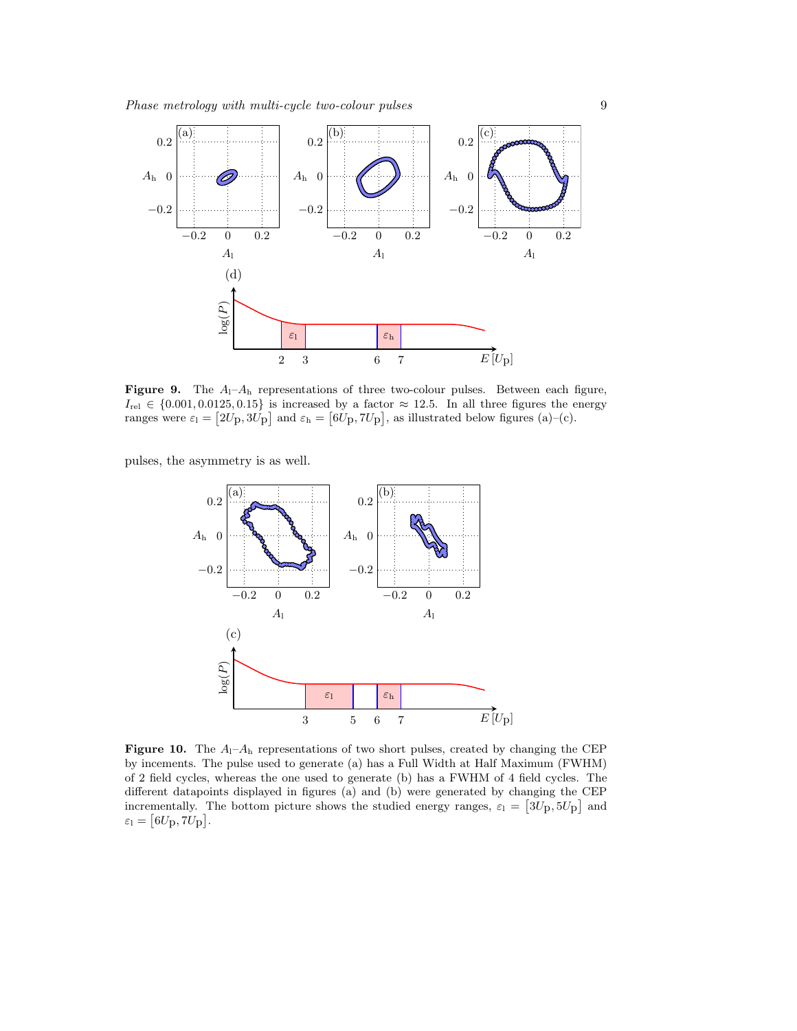<span id="page-9-0"></span>

**Figure 9.** The  $A_1$ – $A_1$  representations of three two-colour pulses. Between each figure,  $I_{rel} \in \{0.001, 0.0125, 0.15\}$  is increased by a factor  $\approx 12.5$ . In all three figures the energy ranges were  $\varepsilon_1 = [2U_{\text{p}}, 3U_{\text{p}}]$  and  $\varepsilon_{\text{h}} = [6U_{\text{p}}, 7U_{\text{p}}]$ , as illustrated below figures (a)–(c).

<span id="page-9-1"></span>pulses, the asymmetry is as well.



**Figure 10.** The  $A_1$ – $A_1$  representations of two short pulses, created by changing the CEP by incements. The pulse used to generate (a) has a Full Width at Half Maximum (FWHM) of 2 field cycles, whereas the one used to generate (b) has a FWHM of 4 field cycles. The different datapoints displayed in figures (a) and (b) were generated by changing the CEP incrementally. The bottom picture shows the studied energy ranges,  $\varepsilon_1 = [3U_{\text{p}}, 5U_{\text{p}}]$  and  $\varepsilon_{\rm l} = \bigl[ 6 U_{\rm p}, 7 U_{\rm p} \bigr] .$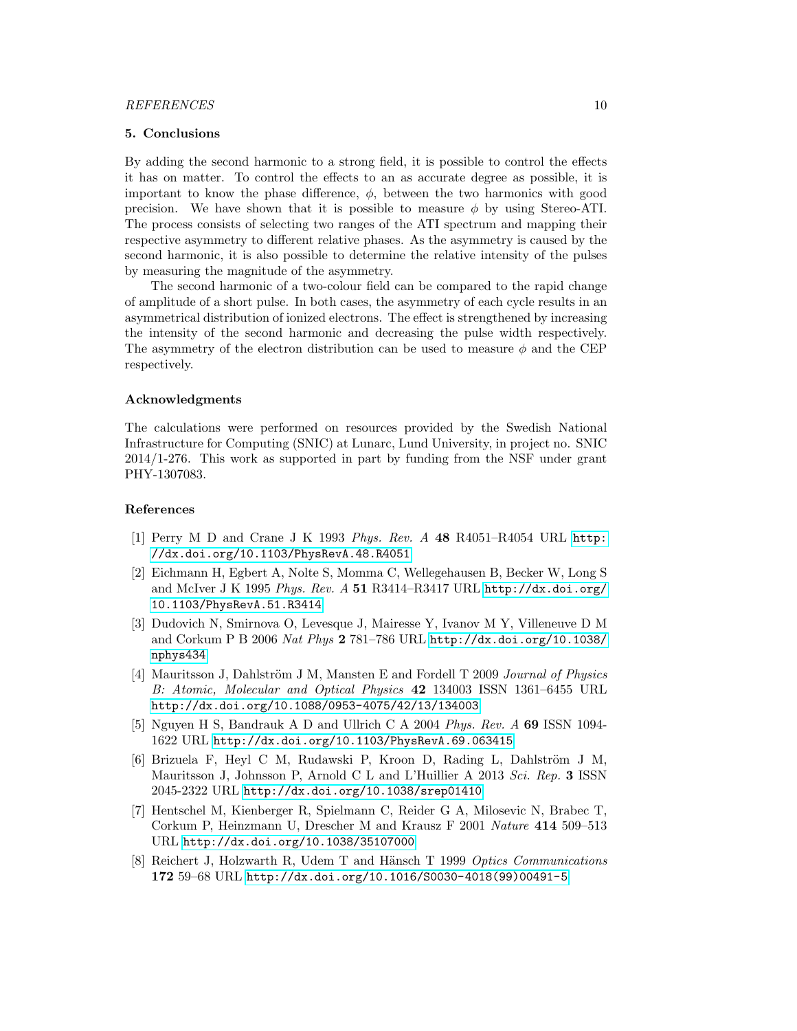#### 5. Conclusions

By adding the second harmonic to a strong field, it is possible to control the effects it has on matter. To control the effects to an as accurate degree as possible, it is important to know the phase difference,  $\phi$ , between the two harmonics with good precision. We have shown that it is possible to measure  $\phi$  by using Stereo-ATI. The process consists of selecting two ranges of the ATI spectrum and mapping their respective asymmetry to different relative phases. As the asymmetry is caused by the second harmonic, it is also possible to determine the relative intensity of the pulses by measuring the magnitude of the asymmetry.

The second harmonic of a two-colour field can be compared to the rapid change of amplitude of a short pulse. In both cases, the asymmetry of each cycle results in an asymmetrical distribution of ionized electrons. The effect is strengthened by increasing the intensity of the second harmonic and decreasing the pulse width respectively. The asymmetry of the electron distribution can be used to measure  $\phi$  and the CEP respectively.

#### Acknowledgments

The calculations were performed on resources provided by the Swedish National Infrastructure for Computing (SNIC) at Lunarc, Lund University, in project no. SNIC 2014/1-276. This work as supported in part by funding from the NSF under grant PHY-1307083.

#### References

- <span id="page-10-0"></span>[1] Perry M D and Crane J K 1993 Phys. Rev. A 48 R4051–R4054 URL [http:](http://dx.doi.org/10.1103/PhysRevA.48.R4051) [//dx.doi.org/10.1103/PhysRevA.48.R4051](http://dx.doi.org/10.1103/PhysRevA.48.R4051)
- [2] Eichmann H, Egbert A, Nolte S, Momma C, Wellegehausen B, Becker W, Long S and McIver J K 1995 Phys. Rev. A 51 R3414–R3417 URL [http://dx.doi.org/](http://dx.doi.org/10.1103/PhysRevA.51.R3414) [10.1103/PhysRevA.51.R3414](http://dx.doi.org/10.1103/PhysRevA.51.R3414)
- <span id="page-10-1"></span>[3] Dudovich N, Smirnova O, Levesque J, Mairesse Y, Ivanov M Y, Villeneuve D M and Corkum P B 2006 Nat Phys 2 781–786 URL [http://dx.doi.org/10.1038/](http://dx.doi.org/10.1038/nphys434) [nphys434](http://dx.doi.org/10.1038/nphys434)
- <span id="page-10-2"></span>[4] Mauritsson J, Dahlström J M, Mansten E and Fordell T 2009 Journal of Physics B: Atomic, Molecular and Optical Physics 42 134003 ISSN 1361–6455 URL <http://dx.doi.org/10.1088/0953-4075/42/13/134003>
- <span id="page-10-6"></span>[5] Nguyen H S, Bandrauk A D and Ullrich C A 2004 Phys. Rev. A 69 ISSN 1094- 1622 URL <http://dx.doi.org/10.1103/PhysRevA.69.063415>
- <span id="page-10-3"></span>[6] Brizuela F, Heyl C M, Rudawski P, Kroon D, Rading L, Dahlström J M, Mauritsson J, Johnsson P, Arnold C L and L'Huillier A 2013 Sci. Rep. 3 ISSN 2045-2322 URL <http://dx.doi.org/10.1038/srep01410>
- <span id="page-10-4"></span>[7] Hentschel M, Kienberger R, Spielmann C, Reider G A, Milosevic N, Brabec T, Corkum P, Heinzmann U, Drescher M and Krausz F 2001 Nature 414 509–513 URL <http://dx.doi.org/10.1038/35107000>
- <span id="page-10-5"></span>[8] Reichert J, Holzwarth R, Udem T and Hänsch T 1999 Optics Communications 172 59–68 URL [http://dx.doi.org/10.1016/S0030-4018\(99\)00491-5](http://dx.doi.org/10.1016/S0030-4018(99)00491-5)